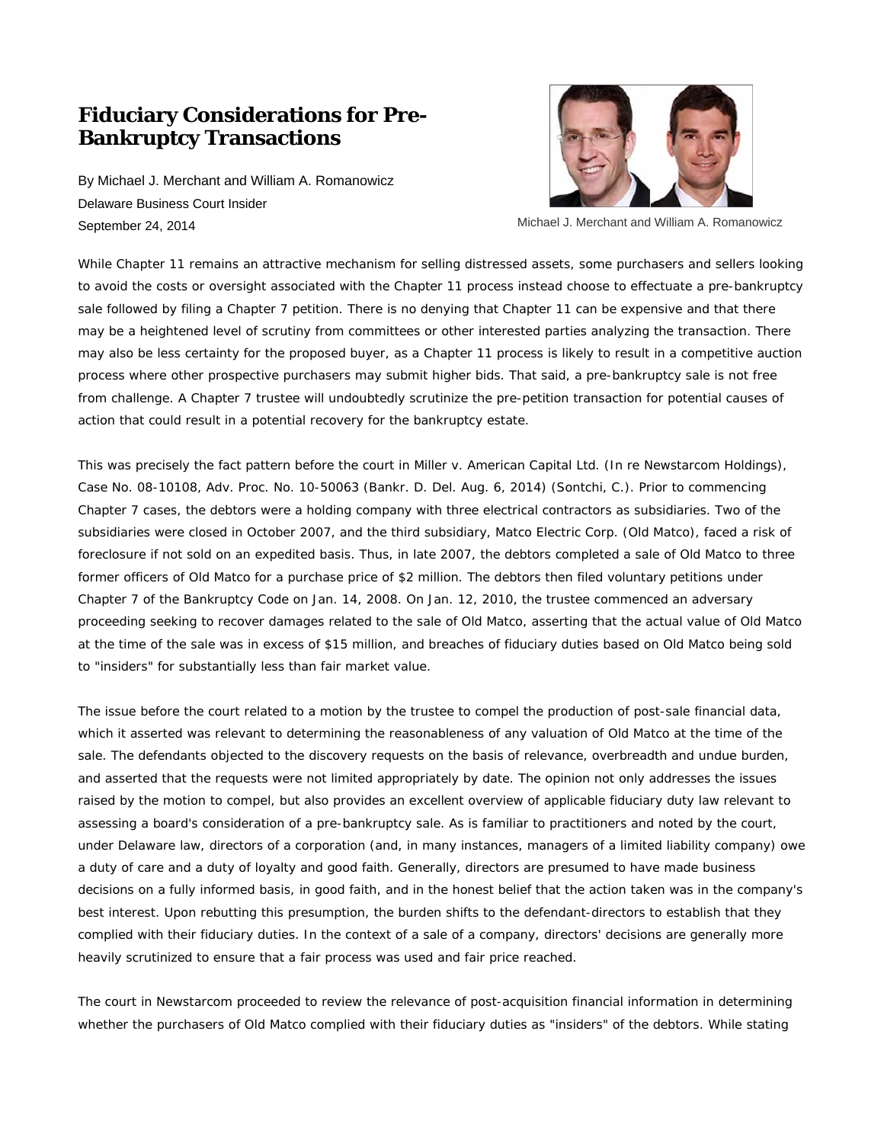## **Fiduciary Considerations for Pre-Bankruptcy Transactions**

By Michael J. Merchant and William A. Romanowicz Delaware Business Court Insider September 24, 2014



Michael J. Merchant and William A. Romanowicz

While Chapter 11 remains an attractive mechanism for selling distressed assets, some purchasers and sellers looking to avoid the costs or oversight associated with the Chapter 11 process instead choose to effectuate a pre-bankruptcy sale followed by filing a Chapter 7 petition. There is no denying that Chapter 11 can be expensive and that there may be a heightened level of scrutiny from committees or other interested parties analyzing the transaction. There may also be less certainty for the proposed buyer, as a Chapter 11 process is likely to result in a competitive auction process where other prospective purchasers may submit higher bids. That said, a pre-bankruptcy sale is not free from challenge. A Chapter 7 trustee will undoubtedly scrutinize the pre-petition transaction for potential causes of action that could result in a potential recovery for the bankruptcy estate.

This was precisely the fact pattern before the court in *Miller v. American Capital Ltd. (In re Newstarcom Holdings)*, Case No. 08-10108, Adv. Proc. No. 10-50063 (Bankr. D. Del. Aug. 6, 2014) (Sontchi, C.). Prior to commencing Chapter 7 cases, the debtors were a holding company with three electrical contractors as subsidiaries. Two of the subsidiaries were closed in October 2007, and the third subsidiary, Matco Electric Corp. (Old Matco), faced a risk of foreclosure if not sold on an expedited basis. Thus, in late 2007, the debtors completed a sale of Old Matco to three former officers of Old Matco for a purchase price of \$2 million. The debtors then filed voluntary petitions under Chapter 7 of the Bankruptcy Code on Jan. 14, 2008. On Jan. 12, 2010, the trustee commenced an adversary proceeding seeking to recover damages related to the sale of Old Matco, asserting that the actual value of Old Matco at the time of the sale was in excess of \$15 million, and breaches of fiduciary duties based on Old Matco being sold to "insiders" for substantially less than fair market value.

The issue before the court related to a motion by the trustee to compel the production of post-sale financial data, which it asserted was relevant to determining the reasonableness of any valuation of Old Matco at the time of the sale. The defendants objected to the discovery requests on the basis of relevance, overbreadth and undue burden, and asserted that the requests were not limited appropriately by date. The opinion not only addresses the issues raised by the motion to compel, but also provides an excellent overview of applicable fiduciary duty law relevant to assessing a board's consideration of a pre-bankruptcy sale. As is familiar to practitioners and noted by the court, under Delaware law, directors of a corporation (and, in many instances, managers of a limited liability company) owe a duty of care and a duty of loyalty and good faith. Generally, directors are presumed to have made business decisions on a fully informed basis, in good faith, and in the honest belief that the action taken was in the company's best interest. Upon rebutting this presumption, the burden shifts to the defendant-directors to establish that they complied with their fiduciary duties. In the context of a sale of a company, directors' decisions are generally more heavily scrutinized to ensure that a fair process was used and fair price reached.

The court in *Newstarcom* proceeded to review the relevance of post-acquisition financial information in determining whether the purchasers of Old Matco complied with their fiduciary duties as "insiders" of the debtors. While stating